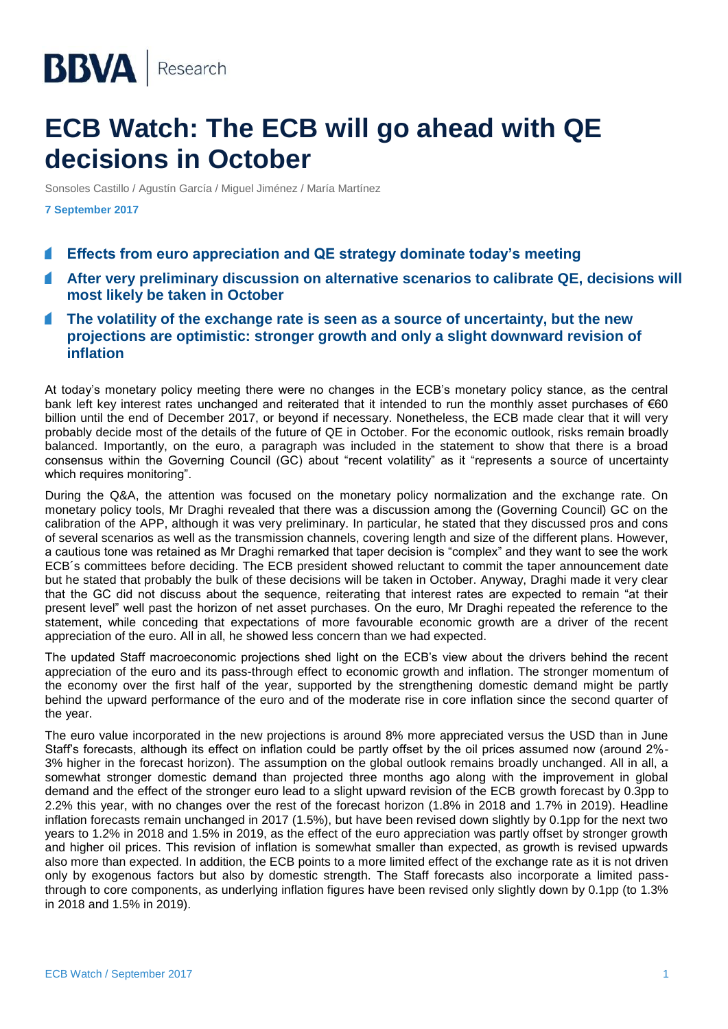## **ECB Watch: The ECB will go ahead with QE decisions in October**

Sonsoles Castillo / Agustín García / Miguel Jiménez / María Martínez

**7 September 2017**

- **Effects from euro appreciation and QE strategy dominate today's meeting**
- **After very preliminary discussion on alternative scenarios to calibrate QE, decisions will most likely be taken in October**
- **The volatility of the exchange rate is seen as a source of uncertainty, but the new projections are optimistic: stronger growth and only a slight downward revision of inflation**

At today's monetary policy meeting there were no changes in the ECB's monetary policy stance, as the central bank left key interest rates unchanged and reiterated that it intended to run the monthly asset purchases of €60 billion until the end of December 2017, or beyond if necessary. Nonetheless, the ECB made clear that it will very probably decide most of the details of the future of QE in October. For the economic outlook, risks remain broadly balanced. Importantly, on the euro, a paragraph was included in the statement to show that there is a broad consensus within the Governing Council (GC) about "recent volatility" as it "represents a source of uncertainty which requires monitoring".

During the Q&A, the attention was focused on the monetary policy normalization and the exchange rate. On monetary policy tools, Mr Draghi revealed that there was a discussion among the (Governing Council) GC on the calibration of the APP, although it was very preliminary. In particular, he stated that they discussed pros and cons of several scenarios as well as the transmission channels, covering length and size of the different plans. However, a cautious tone was retained as Mr Draghi remarked that taper decision is "complex" and they want to see the work ECB´s committees before deciding. The ECB president showed reluctant to commit the taper announcement date but he stated that probably the bulk of these decisions will be taken in October. Anyway, Draghi made it very clear that the GC did not discuss about the sequence, reiterating that interest rates are expected to remain "at their present level" well past the horizon of net asset purchases. On the euro, Mr Draghi repeated the reference to the statement, while conceding that expectations of more favourable economic growth are a driver of the recent appreciation of the euro. All in all, he showed less concern than we had expected.

The updated Staff macroeconomic projections shed light on the ECB's view about the drivers behind the recent appreciation of the euro and its pass-through effect to economic growth and inflation. The stronger momentum of the economy over the first half of the year, supported by the strengthening domestic demand might be partly behind the upward performance of the euro and of the moderate rise in core inflation since the second quarter of the year.

The euro value incorporated in the new projections is around 8% more appreciated versus the USD than in June Staff's forecasts, although its effect on inflation could be partly offset by the oil prices assumed now (around 2%- 3% higher in the forecast horizon). The assumption on the global outlook remains broadly unchanged. All in all, a somewhat stronger domestic demand than projected three months ago along with the improvement in global demand and the effect of the stronger euro lead to a slight upward revision of the ECB growth forecast by 0.3pp to 2.2% this year, with no changes over the rest of the forecast horizon (1.8% in 2018 and 1.7% in 2019). Headline inflation forecasts remain unchanged in 2017 (1.5%), but have been revised down slightly by 0.1pp for the next two years to 1.2% in 2018 and 1.5% in 2019, as the effect of the euro appreciation was partly offset by stronger growth and higher oil prices. This revision of inflation is somewhat smaller than expected, as growth is revised upwards also more than expected. In addition, the ECB points to a more limited effect of the exchange rate as it is not driven only by exogenous factors but also by domestic strength. The Staff forecasts also incorporate a limited passthrough to core components, as underlying inflation figures have been revised only slightly down by 0.1pp (to 1.3% in 2018 and 1.5% in 2019).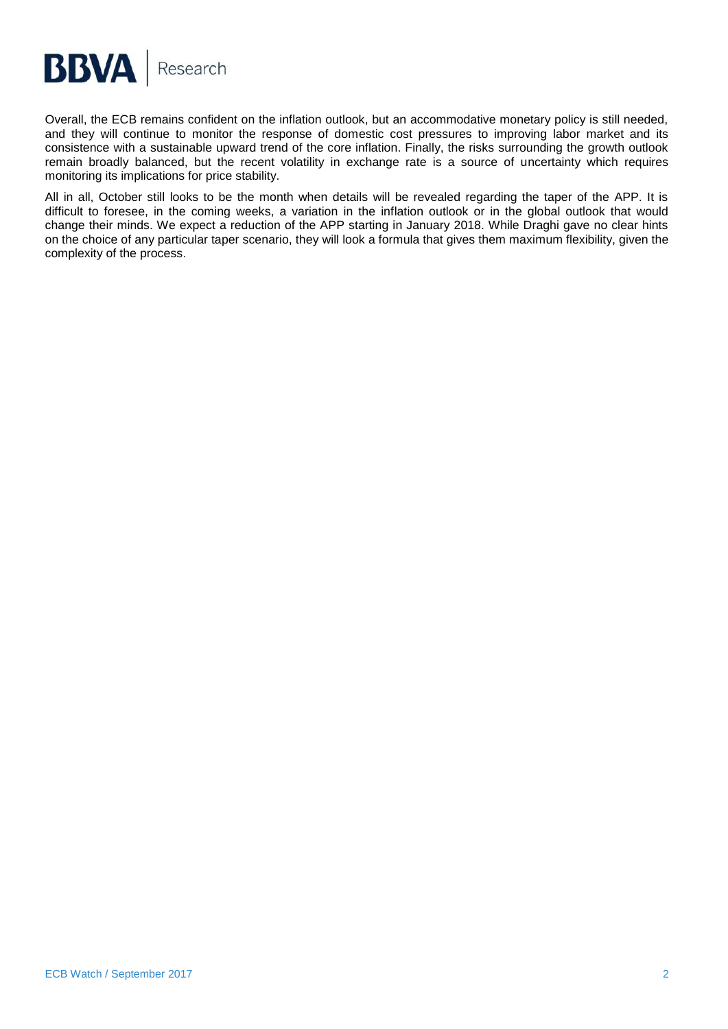

Overall, the ECB remains confident on the inflation outlook, but an accommodative monetary policy is still needed, and they will continue to monitor the response of domestic cost pressures to improving labor market and its consistence with a sustainable upward trend of the core inflation. Finally, the risks surrounding the growth outlook remain broadly balanced, but the recent volatility in exchange rate is a source of uncertainty which requires monitoring its implications for price stability.

All in all, October still looks to be the month when details will be revealed regarding the taper of the APP. It is difficult to foresee, in the coming weeks, a variation in the inflation outlook or in the global outlook that would change their minds. We expect a reduction of the APP starting in January 2018. While Draghi gave no clear hints on the choice of any particular taper scenario, they will look a formula that gives them maximum flexibility, given the complexity of the process.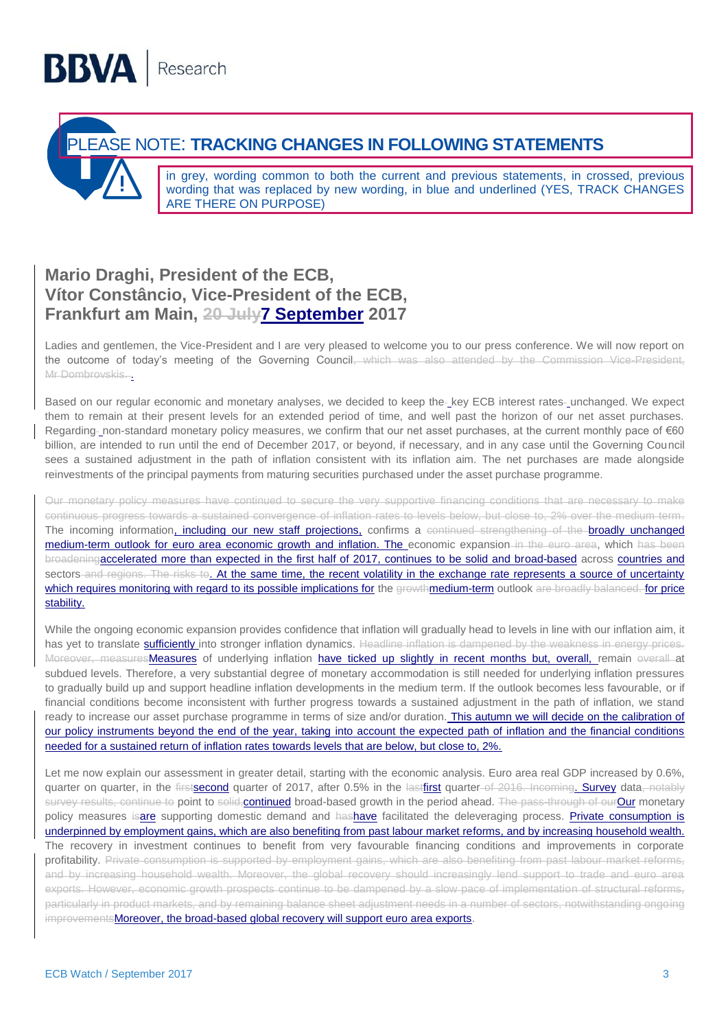## PLEASE NOTE: **TRACKING CHANGES IN FOLLOWING STATEMENTS**

in grey, wording common to both the current and previous statements, in crossed, previous wording that was replaced by new wording, in blue and underlined (YES, TRACK CHANGES ARE THERE ON PURPOSE)

## **Mario Draghi, President of the ECB, Vítor Constâncio, Vice-President of the ECB, Frankfurt am Main, 20 July7 September 2017**

Ladies and gentlemen, the Vice-President and I are very pleased to welcome you to our press conference. We will now report on the outcome of today's meeting of the Governing Council, which was also attended by the Commission Vice-President, Mr Dombrovskis. .

Based on our regular economic and monetary analyses, we decided to keep the key ECB interest rates unchanged. We expect them to remain at their present levels for an extended period of time, and well past the horizon of our net asset purchases. Regarding- non-standard monetary policy measures, we confirm that our net asset purchases, at the current monthly pace of  $€60$ billion, are intended to run until the end of December 2017, or beyond, if necessary, and in any case until the Governing Council sees a sustained adjustment in the path of inflation consistent with its inflation aim. The net purchases are made alongside reinvestments of the principal payments from maturing securities purchased under the asset purchase programme.

Our monetary policy measures have continued to secure the very supportive financing conditions that are necessary to make continuous progress towards a sustained convergence of inflation rates to levels below, but close to, 2% over the medium term. The incoming information, including our new staff projections, confirms a continued strengthening of the broadly unchanged medium-term outlook for euro area economic growth and inflation. The economic expansion in the euro area, which has been broadeningaccelerated more than expected in the first half of 2017, continues to be solid and broad-based across countries and sectors and regions. The risks to. At the same time, the recent volatility in the exchange rate represents a source of uncertainty which requires monitoring with regard to its possible implications for the growthmedium-term outlook are broadly balanced. for price stability.

While the ongoing economic expansion provides confidence that inflation will gradually head to levels in line with our inflation aim, it has yet to translate sufficiently into stronger inflation dynamics. Headline inflation is dampened by the weakness in energy prices. Moreover, measuresMeasures of underlying inflation have ticked up slightly in recent months but, overall, remain everall at subdued levels. Therefore, a very substantial degree of monetary accommodation is still needed for underlying inflation pressures to gradually build up and support headline inflation developments in the medium term. If the outlook becomes less favourable, or if financial conditions become inconsistent with further progress towards a sustained adjustment in the path of inflation, we stand ready to increase our asset purchase programme in terms of size and/or duration. This autumn we will decide on the calibration of our policy instruments beyond the end of the year, taking into account the expected path of inflation and the financial conditions needed for a sustained return of inflation rates towards levels that are below, but close to, 2%.

Let me now explain our assessment in greater detail, starting with the economic analysis. Euro area real GDP increased by 0.6%, quarter on quarter, in the firstsecond quarter of 2017, after 0.5% in the lastfirst quarter of 2016. Incoming. Survey data, notably survey results, continue to point to solid, continued broad-based growth in the period ahead. The pass-through of our Our monetary policy measures isare supporting domestic demand and hashave facilitated the deleveraging process. Private consumption is underpinned by employment gains, which are also benefiting from past labour market reforms, and by increasing household wealth. The recovery in investment continues to benefit from very favourable financing conditions and improvements in corporate profitability. Private consumption is supported by employment gains, which are also benefiting from past labour market reforms, and by increasing household wealth. Moreover, the global recovery should increasingly lend support to trade and euro area exports. However, economic growth prospects continue to be dampened by a slow pace of implementation of structural reforms, particularly in product markets, and by remaining balance sheet adjustment needs in a number of sectors, notwithstanding ongoing improvementsMoreover, the broad-based global recovery will support euro area exports.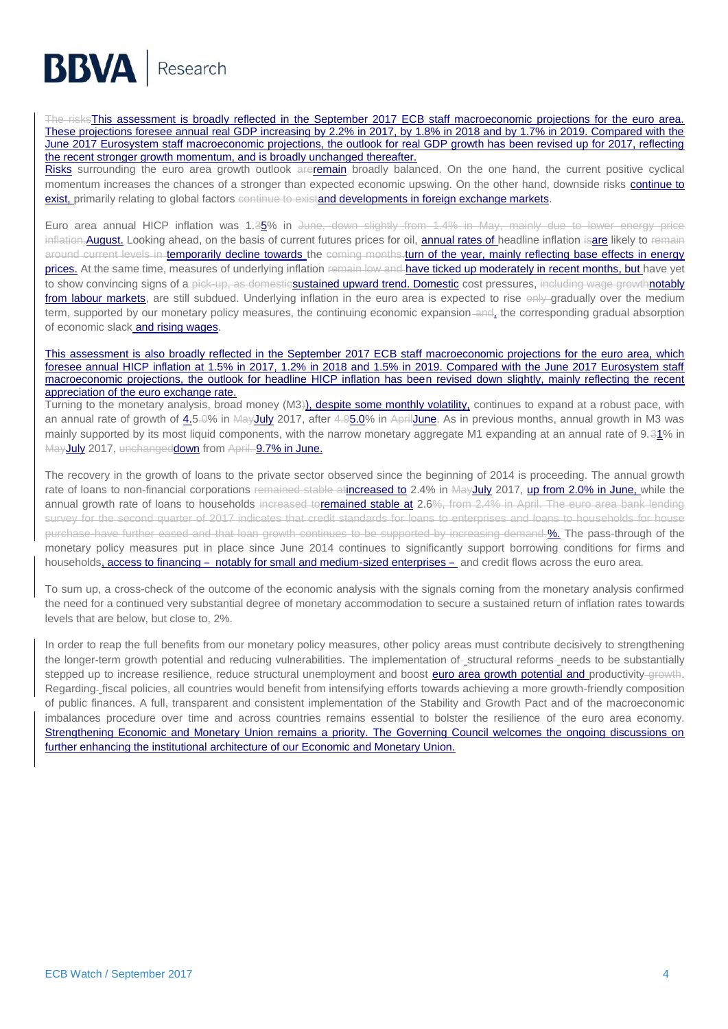# **BBVA** Research

The risksThis assessment is broadly reflected in the September 2017 ECB staff macroeconomic projections for the euro area. These projections foresee annual real GDP increasing by 2.2% in 2017, by 1.8% in 2018 and by 1.7% in 2019. Compared with the June 2017 Eurosystem staff macroeconomic projections, the outlook for real GDP growth has been revised up for 2017, reflecting the recent stronger growth momentum, and is broadly unchanged thereafter.

Risks surrounding the euro area growth outlook areremain broadly balanced. On the one hand, the current positive cyclical momentum increases the chances of a stronger than expected economic upswing. On the other hand, downside risks continue to exist, primarily relating to global factors continue to existand developments in foreign exchange markets.

Euro area annual HICP inflation was 1.35% in June, down slightly from 1.4% in May, mainly due to lower energy price inflation. August. Looking ahead, on the basis of current futures prices for oil, annual rates of headline inflation isare likely to remain around current levels in temporarily decline towards the coming months-turn of the year, mainly reflecting base effects in energy prices. At the same time, measures of underlying inflation remain low and have ticked up moderately in recent months, but have yet to show convincing signs of a pick-up, as domesticsustained upward trend. Domestic cost pressures, including wage growthnotably from labour markets, are still subdued. Underlying inflation in the euro area is expected to rise  $\Theta_{\text{H}}$  gradually over the medium term, supported by our monetary policy measures, the continuing economic expansion and, the corresponding gradual absorption of economic slack and rising wages.

#### This assessment is also broadly reflected in the September 2017 ECB staff macroeconomic projections for the euro area, which foresee annual HICP inflation at 1.5% in 2017, 1.2% in 2018 and 1.5% in 2019. Compared with the June 2017 Eurosystem staff macroeconomic projections, the outlook for headline HICP inflation has been revised down slightly, mainly reflecting the recent appreciation of the euro exchange rate.

Turning to the monetary analysis, broad money (M3)), despite some monthly volatility, continues to expand at a robust pace, with an annual rate of growth of 4.5.0% in MayJuly 2017, after 4.95.0% in AprilJune. As in previous months, annual growth in M3 was mainly supported by its most liquid components, with the narrow monetary aggregate M1 expanding at an annual rate of 9.31% in MayJuly 2017, unchangeddown from April. 9.7% in June.

The recovery in the growth of loans to the private sector observed since the beginning of 2014 is proceeding. The annual growth rate of loans to non-financial corporations remained stable atincreased to 2.4% in MayJuly 2017, up from 2.0% in June, while the annual growth rate of loans to households increased toremained stable at 2.6%, from 2.4% in April. The euro area bank lending survey for the second quarter of 2017 indicates that credit standards for loans to enterprises and loans to households for house purchase have further eased and that loan growth continues to be supported by increasing demand.%. The pass-through of the monetary policy measures put in place since June 2014 continues to significantly support borrowing conditions for firms and households, access to financing – notably for small and medium-sized enterprises – and credit flows across the euro area.

To sum up, a cross-check of the outcome of the economic analysis with the signals coming from the monetary analysis confirmed the need for a continued very substantial degree of monetary accommodation to secure a sustained return of inflation rates towards levels that are below, but close to, 2%.

In order to reap the full benefits from our monetary policy measures, other policy areas must contribute decisively to strengthening the longer-term growth potential and reducing vulnerabilities. The implementation of-structural reforms-needs to be substantially stepped up to increase resilience, reduce structural unemployment and boost **euro area growth potential and** productivity-growth. Regarding-fiscal policies, all countries would benefit from intensifying efforts towards achieving a more growth-friendly composition of public finances. A full, transparent and consistent implementation of the Stability and Growth Pact and of the macroeconomic imbalances procedure over time and across countries remains essential to bolster the resilience of the euro area economy. Strengthening Economic and Monetary Union remains a priority. The Governing Council welcomes the ongoing discussions on further enhancing the institutional architecture of our Economic and Monetary Union.